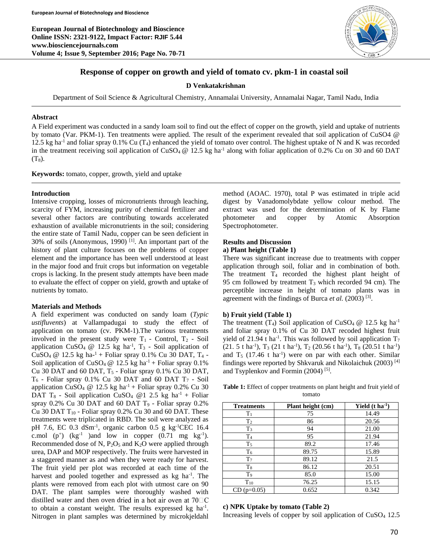**European Journal of Biotechnology and Bioscience Online ISSN: 2321-9122, Impact Factor: RJIF 5.44 www.biosciencejournals.com Volume 4; Issue 9, September 2016; Page No. 70-71**



# **Response of copper on growth and yield of tomato cv. pkm-1 in coastal soil**

**D Venkatakrishnan**

Department of Soil Science & Agricultural Chemistry, Annamalai University, Annamalai Nagar, Tamil Nadu, India

### **Abstract**

A Field experiment was conducted in a sandy loam soil to find out the effect of copper on the growth, yield and uptake of nutrients by tomato (Var. PKM-1). Ten treatments were applied. The result of the experiment revealed that soil application of CuSO4 @ 12.5 kg ha<sup>-1</sup> and foliar spray 0.1% Cu ( $T_4$ ) enhanced the yield of tomato over control. The highest uptake of N and K was recorded in the treatment receiving soil application of  $CuSO_4 \tQ 12.5$  kg ha<sup>-1</sup> along with foliar application of 0.2% Cu on 30 and 60 DAT  $(T_8)$ .

**Keywords:** tomato, copper, growth, yield and uptake

### **Introduction**

Intensive cropping, losses of micronutrients through leaching, scarcity of FYM, increasing purity of chemical fertilizer and several other factors are contributing towards accelerated exhaustion of available micronutrients in the soil; considering the entire state of Tamil Nadu, copper can be seen deficient in 30% of soils (Anonymous, 1990)<sup>[1]</sup>. An important part of the history of plant culture focuses on the problems of copper element and the importance has been well understood at least in the major food and fruit crops but information on vegetable crops is lacking. In the present study attempts have been made to evaluate the effect of copper on yield, growth and uptake of nutrients by tomato.

## **Materials and Methods**

A field experiment was conducted on sandy loam (*Typic ustifluvents*) at Vallampadugai to study the effect of application on tomato (cv. PKM-1).The various treatments involved in the present study were  $T_1$  - Control,  $T_2$  - Soil application CuSO<sub>4</sub> @ 12.5 kg ha<sup>-1</sup>, T<sub>3</sub> - Soil application of  $CuSO_4 \t@ 12.5 kg ha<sup>-1</sup> + Foliar spray 0.1% Cu 30 DAT, T<sub>4</sub> -$ Soil application of CuSO<sub>4</sub> @ 12.5 kg ha<sup>-1</sup> + Foliar spray 0.1% Cu 30 DAT and 60 DAT,  $T_5$  - Foliar spray 0.1% Cu 30 DAT,  $T_6$  - Foliar spray 0.1% Cu 30 DAT and 60 DAT  $T_7$  - Soil application CuSO<sub>4</sub> @ 12.5 kg ha<sup>-1</sup> + Foliar spray 0.2% Cu 30 DAT T<sub>8</sub> - Soil application CuSO<sub>4</sub> @ 1 2.5 kg ha<sup>-1</sup> + Foliar spray  $0.2\%$  Cu 30 DAT and 60 DAT T<sub>9</sub> - Foliar spray  $0.2\%$ Cu 30 DAT  $T_{10}$  - Foliar spray 0.2% Cu 30 and 60 DAT. These treatments were triplicated in RBD. The soil were analyzed as pH 7.6, EC 0.3 dSm-1 , organic carbon 0.5 g kg-1CEC 16.4 c.mol  $(p^+)$  (kg<sup>-1</sup>) and low in copper  $(0.71 \text{ mg kg}^{-1})$ . Recommended dose of N,  $P_2O_5$  and  $K_2O$  were applied through urea, DAP and MOP respectively. The fruits were harvested in a staggered manner as and when they were ready for harvest. The fruit yield per plot was recorded at each time of the harvest and pooled together and expressed as kg ha<sup>-1</sup>. The plants were removed from each plot with utmost care on 90 DAT. The plant samples were thoroughly washed with distilled water and then oven dried in a hot air oven at  $70\text{ }^{\circ}$ C to obtain a constant weight. The results expressed  $kg$  ha<sup>-1</sup>. Nitrogen in plant samples was determined by microkjeldahl

method (AOAC. 1970), total P was estimated in triple acid digest by Vanadomolybdate yellow colour method. The extract was used for the determination of K by Flame photometer and copper by Atomic Absorption Spectrophotometer.

### **Results and Discussion**

## **a) Plant height (Table 1)**

There was significant increase due to treatments with copper application through soil, foliar and in combination of both. The treatment  $T_4$  recorded the highest plant height of 95 cm followed by treatment  $T_3$  which recorded 94 cm). The perceptible increase in height of tomato plants was in agreement with the findings of Burca et al. (2003)<sup>[3]</sup>.

#### **b) Fruit yield (Table 1)**

The treatment (T<sub>4</sub>) Soil application of CuSO<sub>4</sub>  $@$  12.5 kg ha<sup>-1</sup> and foliar spray 0.1% of Cu 30 DAT recoded highest fruit yield of 21.94 t ha<sup>-1</sup>. This was followed by soil application  $T_7$  $(21. 5 \text{ t} \text{ ha}^{-1}), T_3 (21 \text{ t} \text{ ha}^{-1}), T_2 (20.56 \text{ t} \text{ ha}^{-1}), T_8 (20.51 \text{ t} \text{ ha}^{-1})$ and  $T_5$  (17.46 t ha<sup>-1</sup>) were on par with each other. Similar findings were reported by Shkvaruk and Nikolaichuk (2003) [4] and Tsyplenkov and Formin (2004)<sup>[5]</sup>.

**Table 1:** Effect of copper treatments on plant height and fruit yield of tomato

| <b>Treatments</b> | Plant height (cm) | Yield $(t \text{ ha}^{-1})$ |
|-------------------|-------------------|-----------------------------|
| $T_1$             | 75                | 14.49                       |
| T <sub>2</sub>    | 86                | 20.56                       |
| $T_3$             | 94                | 21.00                       |
| T <sub>4</sub>    | 95                | 21.94                       |
| $T_5$             | 89.2              | 17.46                       |
| T <sub>6</sub>    | 89.75             | 15.89                       |
| $T_7$             | 89.12             | 21.5                        |
| $T_{8}$           | 86.12             | 20.51                       |
| T <sub>9</sub>    | 85.0              | 15.00                       |
| $T_{10}$          | 76.25             | 15.15                       |
| $CD$ (p=0.05)     | 0.652             | 0.342                       |

## **c) NPK Uptake by tomato (Table 2)**

Increasing levels of copper by soil application of  $CuSO<sub>4</sub> 12.5$